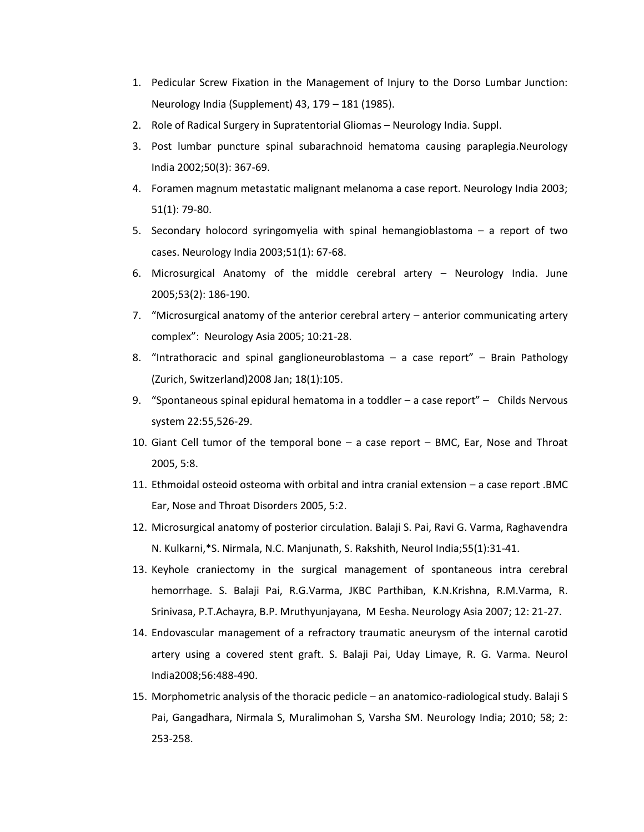- 1. Pedicular Screw Fixation in the Management of Injury to the Dorso Lumbar Junction: Neurology India (Supplement) 43, 179 – 181 (1985).
- 2. Role of Radical Surgery in Supratentorial Gliomas Neurology India. Suppl.
- 3. Post lumbar puncture spinal subarachnoid hematoma causing paraplegia.Neurology India 2002;50(3): 367-69.
- 4. Foramen magnum metastatic malignant melanoma a case report. Neurology India 2003; 51(1): 79-80.
- 5. Secondary holocord syringomyelia with spinal hemangioblastoma a report of two cases. Neurology India 2003;51(1): 67-68.
- 6. Microsurgical Anatomy of the middle cerebral artery Neurology India. June 2005;53(2): 186-190.
- 7. "Microsurgical anatomy of the anterior cerebral artery anterior communicating artery complex": Neurology Asia 2005; 10:21-28.
- 8. "Intrathoracic and spinal ganglioneuroblastoma a case report" Brain Pathology (Zurich, Switzerland)2008 Jan; 18(1):105.
- 9. "Spontaneous spinal epidural hematoma in a toddler a case report" Childs Nervous system 22:55,526-29.
- 10. Giant Cell tumor of the temporal bone a case report BMC, Ear, Nose and Throat 2005, 5:8.
- 11. Ethmoidal osteoid osteoma with orbital and intra cranial extension a case report .BMC Ear, Nose and Throat Disorders 2005, 5:2.
- 12. Microsurgical anatomy of posterior circulation. Balaji S. Pai, Ravi G. Varma, Raghavendra N. Kulkarni,\*S. Nirmala, N.C. Manjunath, S. Rakshith, Neurol India;55(1):31-41.
- 13. Keyhole craniectomy in the surgical management of spontaneous intra cerebral hemorrhage. S. Balaji Pai, R.G.Varma, JKBC Parthiban, K.N.Krishna, R.M.Varma, R. Srinivasa, P.T.Achayra, B.P. Mruthyunjayana, M Eesha. Neurology Asia 2007; 12: 21-27.
- 14. Endovascular management of a refractory traumatic aneurysm of the internal carotid artery using a covered stent graft. S. Balaji Pai, Uday Limaye, R. G. Varma. Neurol India2008;56:488-490.
- 15. Morphometric analysis of the thoracic pedicle an anatomico-radiological study. Balaji S Pai, Gangadhara, Nirmala S, Muralimohan S, Varsha SM. Neurology India; 2010; 58; 2: 253-258.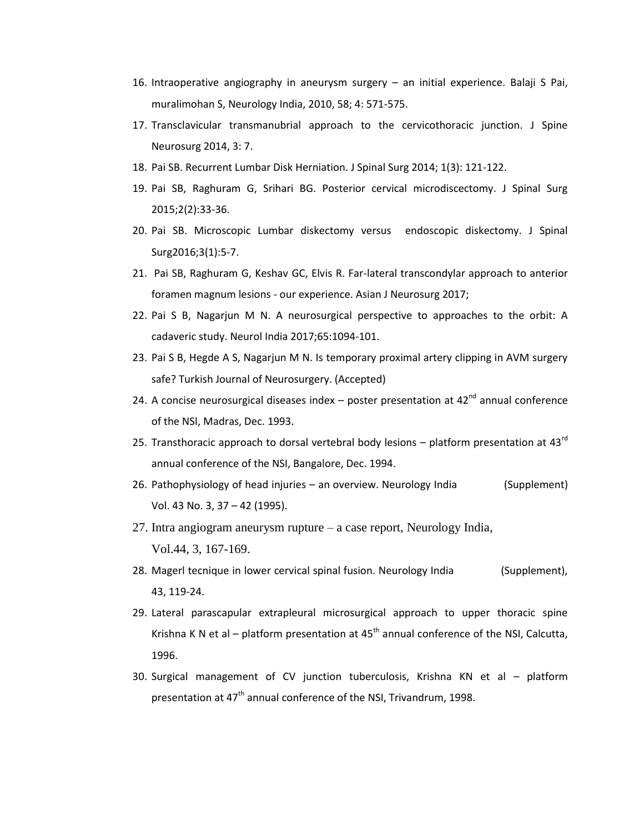- 16. Intraoperative angiography in aneurysm surgery an initial experience. Balaji S Pai, muralimohan S, Neurology India, 2010, 58; 4: 571-575.
- 17. Transclavicular transmanubrial approach to the cervicothoracic junction. J Spine Neurosurg 2014, 3: 7.
- 18. Pai SB. Recurrent Lumbar Disk Herniation. J Spinal Surg 2014; 1(3): 121-122.
- 19. Pai SB, Raghuram G, Srihari BG. Posterior cervical microdiscectomy. J Spinal Surg 2015;2(2):33-36.
- 20. Pai SB. Microscopic Lumbar diskectomy versus endoscopic diskectomy. J Spinal Surg2016;3(1):5-7.
- 21. Pai SB, Raghuram G, Keshav GC, Elvis R. Far-lateral transcondylar approach to anterior foramen magnum lesions - our experience. Asian J Neurosurg 2017;
- 22. Pai S B, Nagarjun M N. A neurosurgical perspective to approaches to the orbit: A cadaveric study. Neurol India 2017;65:1094-101.
- 23. Pai S B, Hegde A S, Nagarjun M N. Is temporary proximal artery clipping in AVM surgery safe? Turkish Journal of Neurosurgery. (Accepted)
- 24. A concise neurosurgical diseases index  $-$  poster presentation at  $42^{nd}$  annual conference of the NSI, Madras, Dec. 1993.
- 25. Transthoracic approach to dorsal vertebral body lesions  $-$  platform presentation at 43 $^{\text{rd}}$ annual conference of the NSI, Bangalore, Dec. 1994.
- 26. Pathophysiology of head injuries an overview. Neurology India (Supplement) Vol. 43 No. 3, 37 – 42 (1995).
- 27. Intra angiogram aneurysm rupture a case report, Neurology India, Vol.44, 3, 167-169.
- 28. Magerl tecnique in lower cervical spinal fusion. Neurology India (Supplement), 43, 119-24.
- 29. Lateral parascapular extrapleural microsurgical approach to upper thoracic spine Krishna K N et al – platform presentation at  $45<sup>th</sup>$  annual conference of the NSI, Calcutta, 1996.
- 30. Surgical management of CV junction tuberculosis, Krishna KN et al platform presentation at  $47<sup>th</sup>$  annual conference of the NSI, Trivandrum, 1998.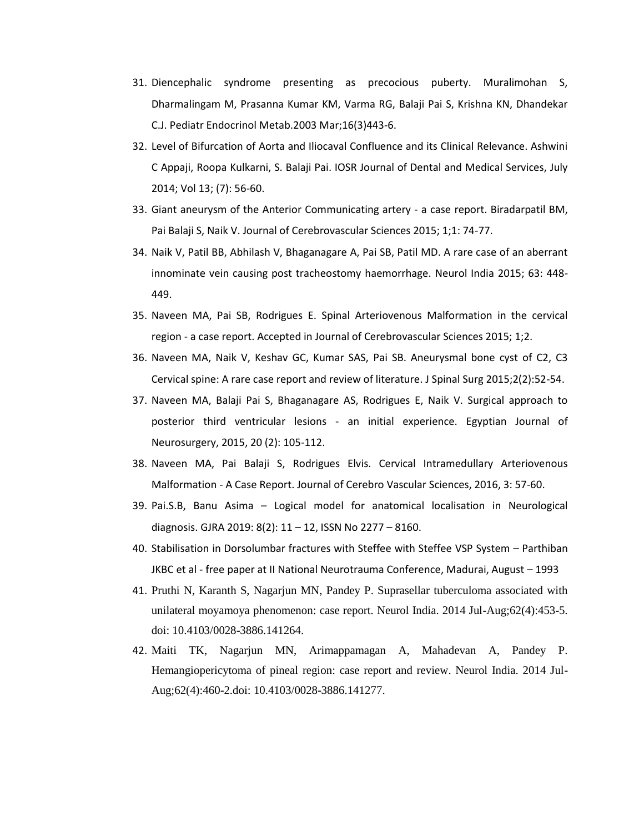- 31. Diencephalic syndrome presenting as precocious puberty. Muralimohan S, Dharmalingam M, Prasanna Kumar KM, Varma RG, Balaji Pai S, Krishna KN, Dhandekar C.J. Pediatr Endocrinol Metab.2003 Mar;16(3)443-6.
- 32. Level of Bifurcation of Aorta and Iliocaval Confluence and its Clinical Relevance. Ashwini C Appaji, Roopa Kulkarni, S. Balaji Pai. IOSR Journal of Dental and Medical Services, July 2014; Vol 13; (7): 56-60.
- 33. Giant aneurysm of the Anterior Communicating artery a case report. Biradarpatil BM, Pai Balaji S, Naik V. Journal of Cerebrovascular Sciences 2015; 1;1: 74-77.
- 34. Naik V, Patil BB, Abhilash V, Bhaganagare A, Pai SB, Patil MD. A rare case of an aberrant innominate vein causing post tracheostomy haemorrhage. Neurol India 2015; 63: 448- 449.
- 35. Naveen MA, Pai SB, Rodrigues E. Spinal Arteriovenous Malformation in the cervical region - a case report. Accepted in Journal of Cerebrovascular Sciences 2015; 1;2.
- 36. Naveen MA, Naik V, Keshav GC, Kumar SAS, Pai SB. Aneurysmal bone cyst of C2, C3 Cervical spine: A rare case report and review of literature. J Spinal Surg 2015;2(2):52-54.
- 37. Naveen MA, Balaji Pai S, Bhaganagare AS, Rodrigues E, Naik V. Surgical approach to posterior third ventricular lesions - an initial experience. Egyptian Journal of Neurosurgery, 2015, 20 (2): 105-112.
- 38. Naveen MA, Pai Balaji S, Rodrigues Elvis. Cervical Intramedullary Arteriovenous Malformation - A Case Report. Journal of Cerebro Vascular Sciences, 2016, 3: 57-60.
- 39. Pai.S.B, Banu Asima Logical model for anatomical localisation in Neurological diagnosis. GJRA 2019: 8(2): 11 – 12, ISSN No 2277 – 8160.
- 40. Stabilisation in Dorsolumbar fractures with Steffee with Steffee VSP System Parthiban JKBC et al - free paper at II National Neurotrauma Conference, Madurai, August – 1993
- 41. Pruthi N, Karanth S, Nagarjun MN, Pandey P. Suprasellar tuberculoma associated with unilateral moyamoya phenomenon: case report. Neurol India. 2014 Jul-Aug;62(4):453-5. doi: 10.4103/0028-3886.141264.
- 42. Maiti TK, Nagarjun MN, Arimappamagan A, Mahadevan A, Pandey P. Hemangiopericytoma of pineal region: case report and review. Neurol India. 2014 Jul-Aug;62(4):460-2.doi: 10.4103/0028-3886.141277.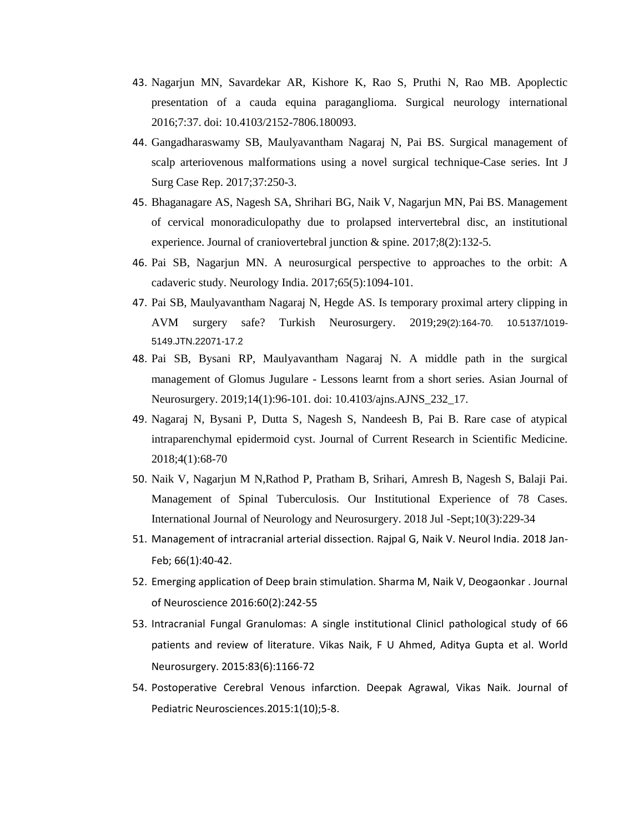- 43. Nagarjun MN, Savardekar AR, Kishore K, Rao S, Pruthi N, Rao MB. Apoplectic presentation of a cauda equina paraganglioma. Surgical neurology international 2016;7:37. doi: 10.4103/2152-7806.180093.
- 44. Gangadharaswamy SB, Maulyavantham Nagaraj N, Pai BS. Surgical management of scalp arteriovenous malformations using a novel surgical technique-Case series. Int J Surg Case Rep. 2017;37:250-3.
- 45. Bhaganagare AS, Nagesh SA, Shrihari BG, Naik V, Nagarjun MN, Pai BS. Management of cervical monoradiculopathy due to prolapsed intervertebral disc, an institutional experience. Journal of craniovertebral junction & spine. 2017;8(2):132-5.
- 46. Pai SB, Nagarjun MN. A neurosurgical perspective to approaches to the orbit: A cadaveric study. Neurology India. 2017;65(5):1094-101.
- 47. Pai SB, Maulyavantham Nagaraj N, Hegde AS. Is temporary proximal artery clipping in AVM surgery safe? Turkish Neurosurgery. 2019;29(2):164-70. 10.5137/1019- 5149.JTN.22071-17.2
- 48. Pai SB, Bysani RP, Maulyavantham Nagaraj N. A middle path in the surgical management of Glomus Jugulare - Lessons learnt from a short series. Asian Journal of Neurosurgery. 2019;14(1):96-101. doi: 10.4103/ajns.AJNS\_232\_17.
- 49. Nagaraj N, Bysani P, Dutta S, Nagesh S, Nandeesh B, Pai B. Rare case of atypical intraparenchymal epidermoid cyst. Journal of Current Research in Scientific Medicine. 2018;4(1):68-70
- 50. Naik V, Nagarjun M N,Rathod P, Pratham B, Srihari, Amresh B, Nagesh S, Balaji Pai. Management of Spinal Tuberculosis. Our Institutional Experience of 78 Cases. International Journal of Neurology and Neurosurgery. 2018 Jul -Sept;10(3):229-34
- 51. Management of intracranial arterial dissection. Rajpal G, Naik V. Neurol India. 2018 Jan-Feb; 66(1):40-42.
- 52. Emerging application of Deep brain stimulation. Sharma M, Naik V, Deogaonkar . Journal of Neuroscience 2016:60(2):242-55
- 53. Intracranial Fungal Granulomas: A single institutional Clinicl pathological study of 66 patients and review of literature. Vikas Naik, F U Ahmed, Aditya Gupta et al. World Neurosurgery. 2015:83(6):1166-72
- 54. Postoperative Cerebral Venous infarction. Deepak Agrawal, Vikas Naik. Journal of Pediatric Neurosciences.2015:1(10);5-8.